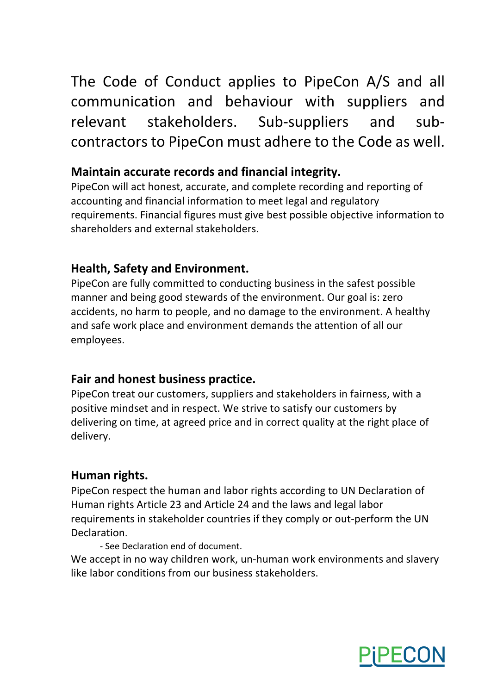The Code of Conduct applies to PipeCon A/S and all communication and behaviour with suppliers and relevant stakeholders. Sub-suppliers and subcontractors to PipeCon must adhere to the Code as well.

### **Maintain accurate records and financial integrity.**

PipeCon will act honest, accurate, and complete recording and reporting of accounting and financial information to meet legal and regulatory requirements. Financial figures must give best possible objective information to shareholders and external stakeholders.

# **Health, Safety and Environment.**

PipeCon are fully committed to conducting business in the safest possible manner and being good stewards of the environment. Our goal is: zero accidents, no harm to people, and no damage to the environment. A healthy and safe work place and environment demands the attention of all our employees.

## **Fair and honest business practice.**

PipeCon treat our customers, suppliers and stakeholders in fairness, with a positive mindset and in respect. We strive to satisfy our customers by delivering on time, at agreed price and in correct quality at the right place of delivery.

## **Human rights.**

PipeCon respect the human and labor rights according to UN Declaration of Human rights Article 23 and Article 24 and the laws and legal labor requirements in stakeholder countries if they comply or out-perform the UN Declaration.

- See Declaration end of document.

We accept in no way children work, un-human work environments and slavery like labor conditions from our business stakeholders.